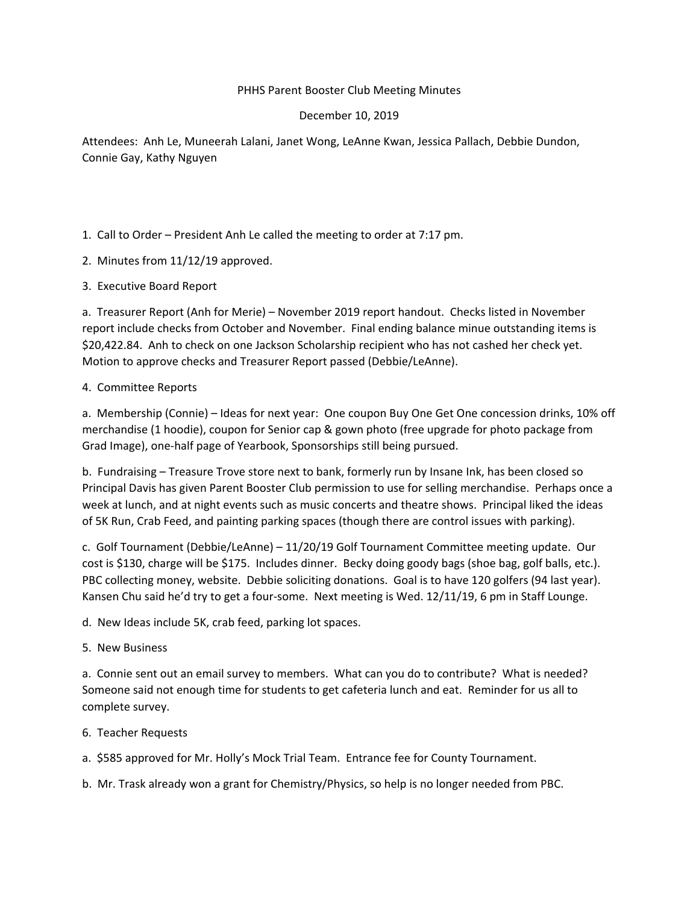# PHHS Parent Booster Club Meeting Minutes

## December 10, 2019

Attendees: Anh Le, Muneerah Lalani, Janet Wong, LeAnne Kwan, Jessica Pallach, Debbie Dundon, Connie Gay, Kathy Nguyen

1. Call to Order – President Anh Le called the meeting to order at 7:17 pm.

- 2. Minutes from 11/12/19 approved.
- 3. Executive Board Report

a. Treasurer Report (Anh for Merie) – November 2019 report handout. Checks listed in November report include checks from October and November. Final ending balance minue outstanding items is \$20,422.84. Anh to check on one Jackson Scholarship recipient who has not cashed her check yet. Motion to approve checks and Treasurer Report passed (Debbie/LeAnne).

### 4. Committee Reports

a. Membership (Connie) – Ideas for next year: One coupon Buy One Get One concession drinks, 10% off merchandise (1 hoodie), coupon for Senior cap & gown photo (free upgrade for photo package from Grad Image), one‐half page of Yearbook, Sponsorships still being pursued.

b. Fundraising – Treasure Trove store next to bank, formerly run by Insane Ink, has been closed so Principal Davis has given Parent Booster Club permission to use for selling merchandise. Perhaps once a week at lunch, and at night events such as music concerts and theatre shows. Principal liked the ideas of 5K Run, Crab Feed, and painting parking spaces (though there are control issues with parking).

c. Golf Tournament (Debbie/LeAnne) – 11/20/19 Golf Tournament Committee meeting update. Our cost is \$130, charge will be \$175. Includes dinner. Becky doing goody bags (shoe bag, golf balls, etc.). PBC collecting money, website. Debbie soliciting donations. Goal is to have 120 golfers (94 last year). Kansen Chu said he'd try to get a four-some. Next meeting is Wed. 12/11/19, 6 pm in Staff Lounge.

d. New Ideas include 5K, crab feed, parking lot spaces.

5. New Business

a. Connie sent out an email survey to members. What can you do to contribute? What is needed? Someone said not enough time for students to get cafeteria lunch and eat. Reminder for us all to complete survey.

### 6. Teacher Requests

a. \$585 approved for Mr. Holly's Mock Trial Team. Entrance fee for County Tournament.

b. Mr. Trask already won a grant for Chemistry/Physics, so help is no longer needed from PBC.